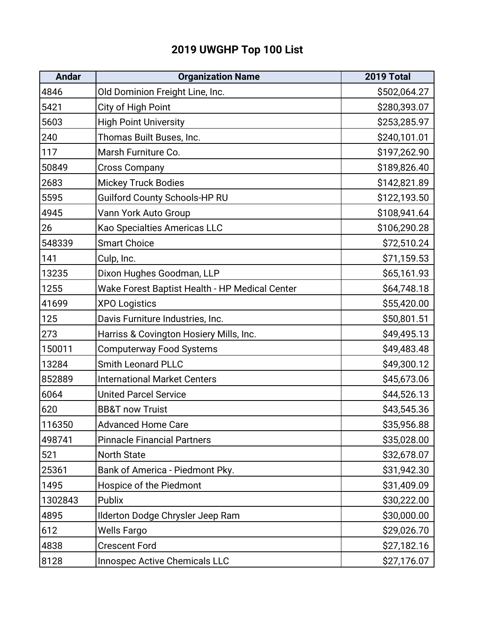## **2019 UWGHP Top 100 List**

| <b>Andar</b> | <b>Organization Name</b>                       | 2019 Total   |
|--------------|------------------------------------------------|--------------|
| 4846         | Old Dominion Freight Line, Inc.                | \$502,064.27 |
| 5421         | City of High Point                             | \$280,393.07 |
| 5603         | <b>High Point University</b>                   | \$253,285.97 |
| 240          | Thomas Built Buses, Inc.                       | \$240,101.01 |
| 117          | Marsh Furniture Co.                            | \$197,262.90 |
| 50849        | <b>Cross Company</b>                           | \$189,826.40 |
| 2683         | <b>Mickey Truck Bodies</b>                     | \$142,821.89 |
| 5595         | <b>Guilford County Schools-HP RU</b>           | \$122,193.50 |
| 4945         | Vann York Auto Group                           | \$108,941.64 |
| 26           | Kao Specialties Americas LLC                   | \$106,290.28 |
| 548339       | <b>Smart Choice</b>                            | \$72,510.24  |
| 141          | Culp, Inc.                                     | \$71,159.53  |
| 13235        | Dixon Hughes Goodman, LLP                      | \$65,161.93  |
| 1255         | Wake Forest Baptist Health - HP Medical Center | \$64,748.18  |
| 41699        | <b>XPO Logistics</b>                           | \$55,420.00  |
| 125          | Davis Furniture Industries, Inc.               | \$50,801.51  |
| 273          | Harriss & Covington Hosiery Mills, Inc.        | \$49,495.13  |
| 150011       | <b>Computerway Food Systems</b>                | \$49,483.48  |
| 13284        | <b>Smith Leonard PLLC</b>                      | \$49,300.12  |
| 852889       | <b>International Market Centers</b>            | \$45,673.06  |
| 6064         | <b>United Parcel Service</b>                   | \$44,526.13  |
| 620          | <b>BB&amp;T now Truist</b>                     | \$43,545.36  |
| 116350       | <b>Advanced Home Care</b>                      | \$35,956.88  |
| 498741       | <b>Pinnacle Financial Partners</b>             | \$35,028.00  |
| 521          | <b>North State</b>                             | \$32,678.07  |
| 25361        | Bank of America - Piedmont Pky.                | \$31,942.30  |
| 1495         | Hospice of the Piedmont                        | \$31,409.09  |
| 1302843      | Publix                                         | \$30,222.00  |
| 4895         | Ilderton Dodge Chrysler Jeep Ram               | \$30,000.00  |
| 612          | Wells Fargo                                    | \$29,026.70  |
| 4838         | <b>Crescent Ford</b>                           | \$27,182.16  |
| 8128         | <b>Innospec Active Chemicals LLC</b>           | \$27,176.07  |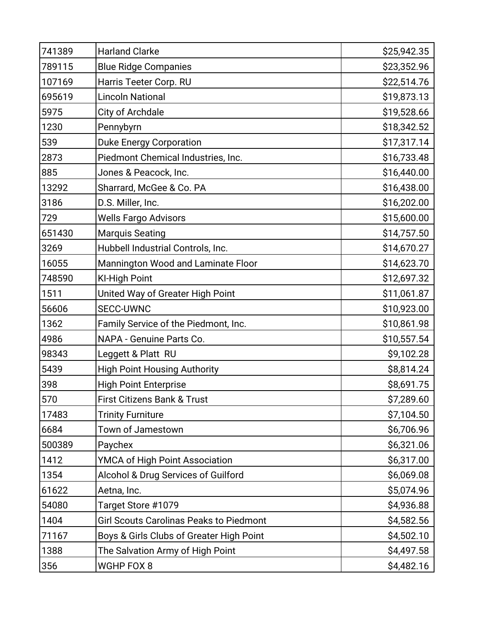| 741389 | <b>Harland Clarke</b>                          | \$25,942.35 |
|--------|------------------------------------------------|-------------|
| 789115 | <b>Blue Ridge Companies</b>                    | \$23,352.96 |
| 107169 | Harris Teeter Corp. RU                         | \$22,514.76 |
| 695619 | <b>Lincoln National</b>                        | \$19,873.13 |
| 5975   | City of Archdale                               | \$19,528.66 |
| 1230   | Pennybyrn                                      | \$18,342.52 |
| 539    | <b>Duke Energy Corporation</b>                 | \$17,317.14 |
| 2873   | Piedmont Chemical Industries, Inc.             | \$16,733.48 |
| 885    | Jones & Peacock, Inc.                          | \$16,440.00 |
| 13292  | Sharrard, McGee & Co. PA                       | \$16,438.00 |
| 3186   | D.S. Miller, Inc.                              | \$16,202.00 |
| 729    | <b>Wells Fargo Advisors</b>                    | \$15,600.00 |
| 651430 | <b>Marquis Seating</b>                         | \$14,757.50 |
| 3269   | Hubbell Industrial Controls, Inc.              | \$14,670.27 |
| 16055  | Mannington Wood and Laminate Floor             | \$14,623.70 |
| 748590 | <b>KI-High Point</b>                           | \$12,697.32 |
| 1511   | United Way of Greater High Point               | \$11,061.87 |
| 56606  | <b>SECC-UWNC</b>                               | \$10,923.00 |
| 1362   | Family Service of the Piedmont, Inc.           | \$10,861.98 |
| 4986   | NAPA - Genuine Parts Co.                       | \$10,557.54 |
| 98343  | Leggett & Platt RU                             | \$9,102.28  |
| 5439   | <b>High Point Housing Authority</b>            | \$8,814.24  |
| 398    | <b>High Point Enterprise</b>                   | \$8,691.75  |
| 570    | <b>First Citizens Bank &amp; Trust</b>         | \$7,289.60  |
| 17483  | <b>Trinity Furniture</b>                       | \$7,104.50  |
| 6684   | Town of Jamestown                              | \$6,706.96  |
| 500389 | Paychex                                        | \$6,321.06  |
| 1412   | YMCA of High Point Association                 | \$6,317.00  |
| 1354   | Alcohol & Drug Services of Guilford            | \$6,069.08  |
| 61622  | Aetna, Inc.                                    | \$5,074.96  |
| 54080  | Target Store #1079                             | \$4,936.88  |
| 1404   | <b>Girl Scouts Carolinas Peaks to Piedmont</b> | \$4,582.56  |
| 71167  | Boys & Girls Clubs of Greater High Point       | \$4,502.10  |
| 1388   | The Salvation Army of High Point               | \$4,497.58  |
| 356    | WGHP FOX 8                                     | \$4,482.16  |